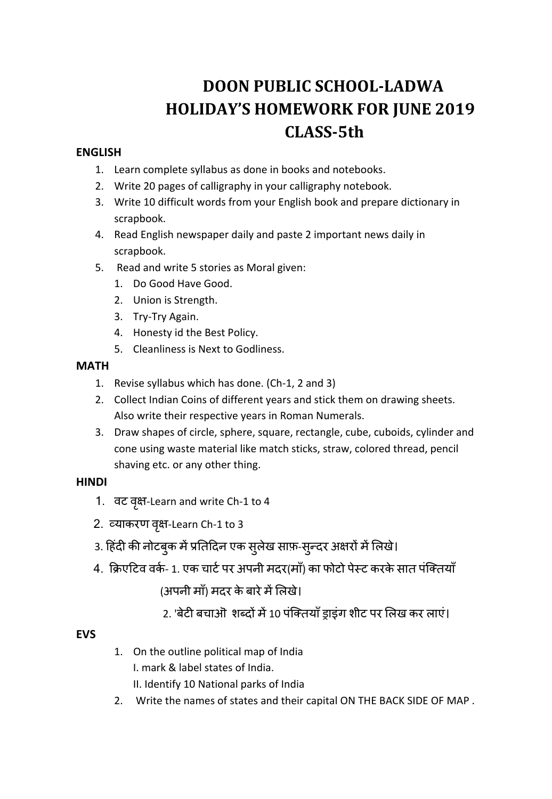# **DOON PUBLIC SCHOOL‐LADWA HOLIDAY'S HOMEWORK FOR JUNE 2019 CLASS‐5th**

## **ENGLISH**

- 1. Learn complete syllabus as done in books and notebooks.
- 2. Write 20 pages of calligraphy in your calligraphy notebook.
- 3. Write 10 difficult words from your English book and prepare dictionary in scrapbook.
- 4. Read English newspaper daily and paste 2 important news daily in scrapbook.
- 5. Read and write 5 stories as Moral given:
	- 1. Do Good Have Good.
	- 2. Union is Strength.
	- 3. Try‐Try Again.
	- 4. Honesty id the Best Policy.
	- 5. Cleanliness is Next to Godliness.

## **MATH**

- 1. Revise syllabus which has done. (Ch‐1, 2 and 3)
- 2. Collect Indian Coins of different years and stick them on drawing sheets. Also write their respective years in Roman Numerals.
- 3. Draw shapes of circle, sphere, square, rectangle, cube, cuboids, cylinder and cone using waste material like match sticks, straw, colored thread, pencil shaving etc. or any other thing.

# **HINDI**

- 1. वट वृक्ष-Learn and write Ch-1 to 4
- 2. व्याकरण वृक्ष-Learn Ch-1 to 3
- 3. हिंदी की नोटबुक में प्रतिदिन एक सुलेख साफ़-सुन्दर अक्षरों में लिखे।
	- 4. क्रिएटिव वर्क- 1. एक चार्ट पर अपनी मदर(माँ) का फोटो पेस्ट करके सात पंक्तियाँ (अपनी माँ) मदर के बारे में लिखे।
		- 2. 'बेटी बचाओं शब्दों में 10 पंक्तियाँ ड्राइंग शीट पर लिख कर लाएं।

# **EVS**

- 1. On the outline political map of India I. mark & label states of India. II. Identify 10 National parks of India
- 2. Write the names of states and their capital ON THE BACK SIDE OF MAP .